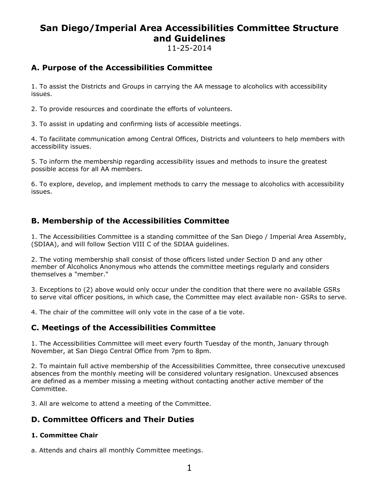# **San Diego/Imperial Area Accessibilities Committee Structure and Guidelines**

11-25-2014

# **A. Purpose of the Accessibilities Committee**

1. To assist the Districts and Groups in carrying the AA message to alcoholics with accessibility issues.

2. To provide resources and coordinate the efforts of volunteers.

3. To assist in updating and confirming lists of accessible meetings.

4. To facilitate communication among Central Offices, Districts and volunteers to help members with accessibility issues.

5. To inform the membership regarding accessibility issues and methods to insure the greatest possible access for all AA members.

6. To explore, develop, and implement methods to carry the message to alcoholics with accessibility issues.

## **B. Membership of the Accessibilities Committee**

1. The Accessibilities Committee is a standing committee of the San Diego / Imperial Area Assembly, (SDIAA), and will follow Section VIII C of the SDIAA guidelines.

2. The voting membership shall consist of those officers listed under Section D and any other member of Alcoholics Anonymous who attends the committee meetings regularly and considers themselves a "member."

3. Exceptions to (2) above would only occur under the condition that there were no available GSRs to serve vital officer positions, in which case, the Committee may elect available non- GSRs to serve.

4. The chair of the committee will only vote in the case of a tie vote.

### **C. Meetings of the Accessibilities Committee**

1. The Accessibilities Committee will meet every fourth Tuesday of the month, January through November, at San Diego Central Office from 7pm to 8pm.

2. To maintain full active membership of the Accessibilities Committee, three consecutive unexcused absences from the monthly meeting will be considered voluntary resignation. Unexcused absences are defined as a member missing a meeting without contacting another active member of the Committee.

3. All are welcome to attend a meeting of the Committee.

# **D. Committee Officers and Their Duties**

#### **1. Committee Chair**

a. Attends and chairs all monthly Committee meetings.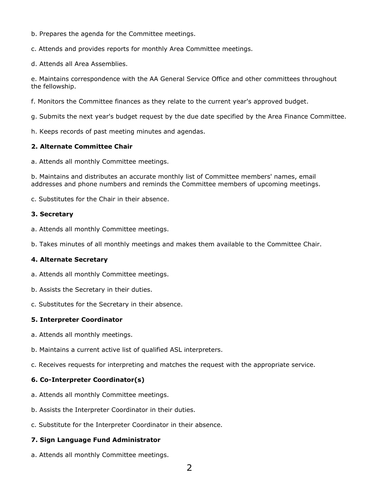- b. Prepares the agenda for the Committee meetings.
- c. Attends and provides reports for monthly Area Committee meetings.
- d. Attends all Area Assemblies.

e. Maintains correspondence with the AA General Service Office and other committees throughout the fellowship.

- f. Monitors the Committee finances as they relate to the current year's approved budget.
- g. Submits the next year's budget request by the due date specified by the Area Finance Committee.
- h. Keeps records of past meeting minutes and agendas.

#### **2. Alternate Committee Chair**

a. Attends all monthly Committee meetings.

b. Maintains and distributes an accurate monthly list of Committee members' names, email addresses and phone numbers and reminds the Committee members of upcoming meetings.

c. Substitutes for the Chair in their absence.

#### **3. Secretary**

- a. Attends all monthly Committee meetings.
- b. Takes minutes of all monthly meetings and makes them available to the Committee Chair.

#### **4. Alternate Secretary**

- a. Attends all monthly Committee meetings.
- b. Assists the Secretary in their duties.
- c. Substitutes for the Secretary in their absence.

#### **5. Interpreter Coordinator**

- a. Attends all monthly meetings.
- b. Maintains a current active list of qualified ASL interpreters.
- c. Receives requests for interpreting and matches the request with the appropriate service.

#### **6. Co-Interpreter Coordinator(s)**

- a. Attends all monthly Committee meetings.
- b. Assists the Interpreter Coordinator in their duties.
- c. Substitute for the Interpreter Coordinator in their absence.

#### **7. Sign Language Fund Administrator**

a. Attends all monthly Committee meetings.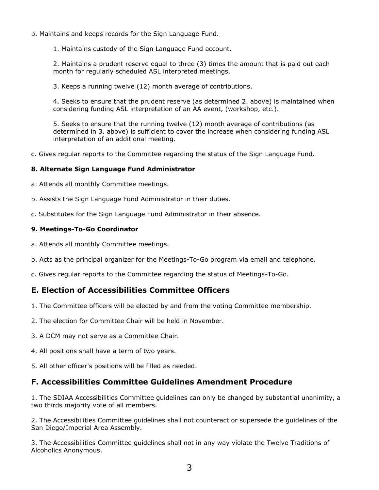- b. Maintains and keeps records for the Sign Language Fund.
	- 1. Maintains custody of the Sign Language Fund account.

2. Maintains a prudent reserve equal to three (3) times the amount that is paid out each month for regularly scheduled ASL interpreted meetings.

3. Keeps a running twelve (12) month average of contributions.

4. Seeks to ensure that the prudent reserve (as determined 2. above) is maintained when considering funding ASL interpretation of an AA event, (workshop, etc.).

5. Seeks to ensure that the running twelve (12) month average of contributions (as determined in 3. above) is sufficient to cover the increase when considering funding ASL interpretation of an additional meeting.

c. Gives regular reports to the Committee regarding the status of the Sign Language Fund.

#### **8. Alternate Sign Language Fund Administrator**

- a. Attends all monthly Committee meetings.
- b. Assists the Sign Language Fund Administrator in their duties.
- c. Substitutes for the Sign Language Fund Administrator in their absence.

#### **9. Meetings-To-Go Coordinator**

- a. Attends all monthly Committee meetings.
- b. Acts as the principal organizer for the Meetings-To-Go program via email and telephone.
- c. Gives regular reports to the Committee regarding the status of Meetings-To-Go.

### **E. Election of Accessibilities Committee Officers**

- 1. The Committee officers will be elected by and from the voting Committee membership.
- 2. The election for Committee Chair will be held in November.
- 3. A DCM may not serve as a Committee Chair.
- 4. All positions shall have a term of two years.
- 5. All other officer's positions will be filled as needed.

### **F. Accessibilities Committee Guidelines Amendment Procedure**

1. The SDIAA Accessibilities Committee guidelines can only be changed by substantial unanimity, a two thirds majority vote of all members.

2. The Accessibilities Committee guidelines shall not counteract or supersede the guidelines of the San Diego/Imperial Area Assembly.

3. The Accessibilities Committee guidelines shall not in any way violate the Twelve Traditions of Alcoholics Anonymous.